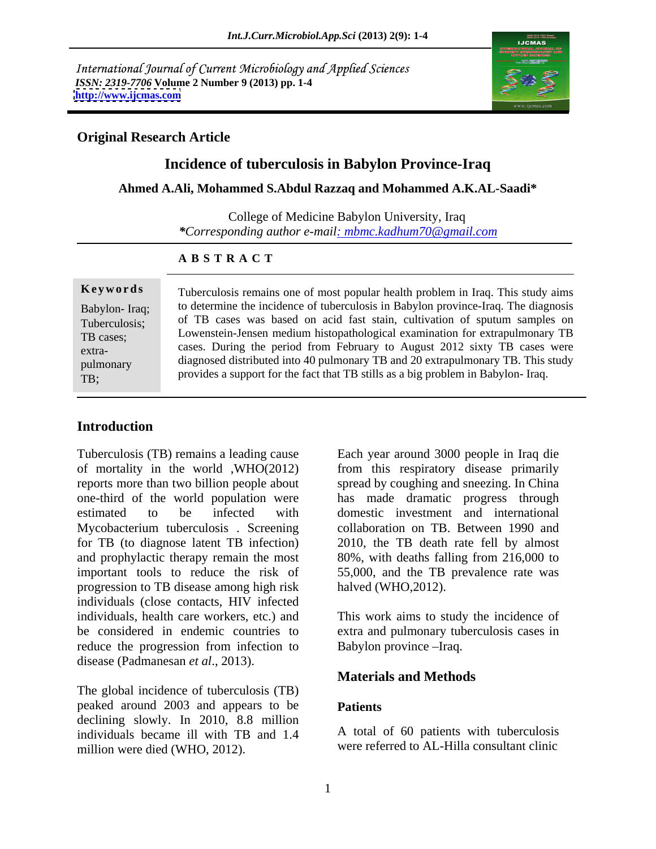International Journal of Current Microbiology and Applied Sciences *ISSN: 2319-7706* **Volume 2 Number 9 (2013) pp. 1-4 <http://www.ijcmas.com>**



### **Original Research Article**

# **Incidence of tuberculosis in Babylon Province-Iraq**

#### **Ahmed A.Ali, Mohammed S.Abdul Razzaq and Mohammed A.K.AL-Saadi\***

College of Medicine Babylon University, Iraq *\*Corresponding author e-mail: mbmc.kadhum70@gmail.com*

#### **A B S T R A C T**

| IS E V WUL US |
|---------------|
| Babylon-Iraq; |
| Tuberculosis; |
| TB cases:     |
| extra-        |
| pulmonary     |
| TB;           |

**Keywords** Tuberculosis remains one of most popular health problem in Iraq. This study aims Babylon- Iraq; to determine the incidence of tuberculosis in Babylon province-Iraq. The diagnosis Tuberculosis; of TB cases was based on acid fast stain, cultivation of sputum samples on TB cases; Lowenstein-Jensen medium histopathological examination for extrapulmonary TB extra- cases. During the period from February to August 2012 sixty TB cases were pulmonary diagnosed distributed into 40 pulmonary TB and 20 extrapulmonary TB. This study TB; provides a support for the fact that TB stills as a big problem in Babylon- Iraq.

### **Introduction**

Tuberculosis (TB) remains a leading cause Each year around 3000 people in Iraq die of mortality in the world ,WHO(2012) from this respiratory disease primarily reports more than two billion people about spread by coughing and sneezing. In China one-third of the world population were has made dramatic progress through estimated to be infected with domestic investment and international Mycobacterium tuberculosis . Screening for TB (to diagnose latent TB infection) 2010, the TB death rate fell by almost and prophylactic therapy remain the most 80%, with deaths falling from 216,000 to important tools to reduce the risk of 55,000, and the TB prevalence rate was progression to TB disease among high risk individuals (close contacts, HIV infected individuals, health care workers, etc.) and This work aims to study the incidence of be considered in endemic countries to extra and pulmonary tuberculosis cases in reduce the progression from infection to disease (Padmanesan *et al*., 2013).

The global incidence of tuberculosis (TB) peaked around 2003 and appears to be declining slowly. In 2010, 8.8 million individuals became ill with TB and 1.4 million were died (WHO, 2012).

collaboration on TB. Between 1990 and halved (WHO,2012).

Babylon province - Iraq.

## **Materials and Methods**

#### **Patients**

A total of 60 patients with tuberculosis were referred to AL-Hilla consultant clinic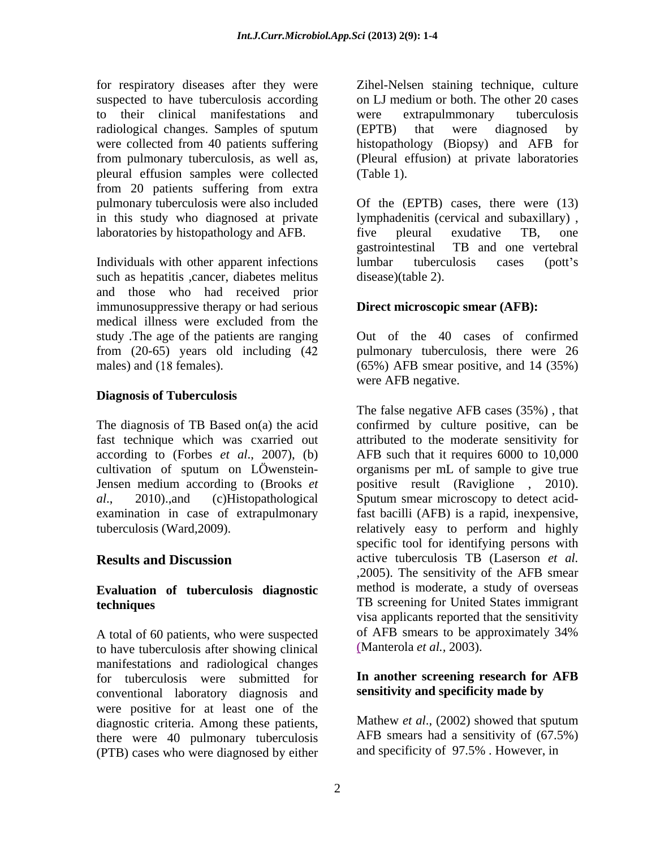suspected to have tuberculosis according on LJ medium or both. The other 20 cases to their clinical manifestations and were collected from 40 patients suffering pleural effusion samples were collected from 20 patients suffering from extra laboratories by histopathology and AFB. The pleural exudative TB, one

Individuals with other apparent infections lumbar tuberculosis cases (pott's such as hepatitis ,cancer, diabetes melitus and those who had received prior immunosuppressive therapy or had serious medical illness were excluded from the study .The age of the patients are ranging from (20-65) years old including (4

# **Diagnosis of Tuberculosis**

fast technique which was cxarried out

# **Evaluation of tuberculosis diagnostic**

to have tuberculosis after showing clinical manifestations and radiological changes for tuberculosis were submitted for conventional laboratory diagnosis and were positive for at least one of the diagnostic criteria. Among these patients, there were 40 pulmonary tuberculosis (PTB) cases who were diagnosed by either

for respiratory diseases after they were Zihel-Nelsen staining technique, culture radiological changes. Samples of sputum (EPTB) that were diagnosed by from pulmonary tuberculosis, as well as, (Pleural effusion) at private laboratories on LJ medium or both. The other 20 cases were extrapulmmonary tuberculosis (EPTB) that were diagnosed by histopathology (Biopsy) and AFB for (Table 1).

pulmonary tuberculosis were also included Of the (EPTB) cases, there were (13) in this study who diagnosed at private lymphadenitis (cervical and subaxillary) , five pleural exudative TB, one gastrointestinal TB and one vertebral lumbar tuberculosis cases (pott's disease)(table 2).

# **Direct microscopic smear (AFB):**

males) and (18 females). (65%) AFB smear positive, and 14 (35%) Out of the 40 cases of confirmed pulmonary tuberculosis, there were 26 were AFB negative.

The diagnosis of TB Based on(a) the acid confirmed by culture positive, can be according to (Forbes *et al*., 2007), (b) AFB such that it requires 6000 to 10,000 cultivation of sputum on LÖwenstein- organisms per mL of sample to give true Jensen medium according to (Brooks *et*  positive result (Raviglione , 2010). *al*., 2010).,and (c)Histopathological Sputum smear microscopy to detect acidexamination in case of extrapulmonary fast bacilli (AFB) is a rapid, inexpensive, tuberculosis (Ward,2009). relatively easy to perform and highly **Results and Discussion** active tuberculosis TB (Laserson *et al.* **techniques**  TB screening for United States immigrant A total of 60 patients, who were suspected of AFB smears to be approximately 34% The false negative AFB cases (35%) , that attributed to the moderate sensitivity for specific tool for identifying persons with ,2005). The sensitivity of the AFB smear method is moderate, a study of overseas visa applicants reported that the sensitivity of AFB smears to be approximately 34% (Manterola *et al.,* 2003).

# **In another screening research for AFB sensitivity and specificity made by**

Mathew *et al*., (2002) showed that sputum AFB smears had a sensitivity of (67.5%) and specificity of 97.5% . However, in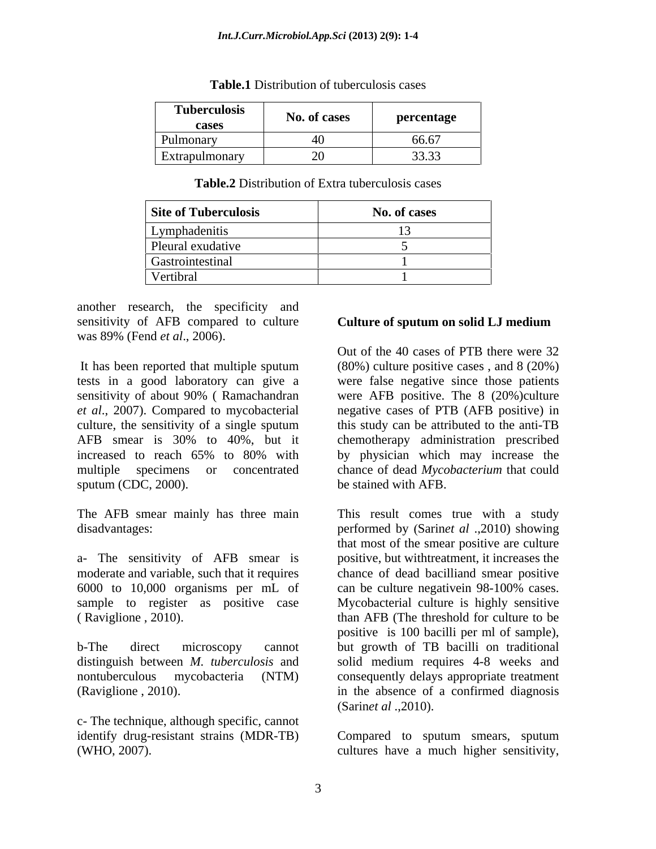| <b>Tuberculosis</b><br>$N_{\alpha}$<br><b>No. of cases</b><br>cases | percentage           |
|---------------------------------------------------------------------|----------------------|
|                                                                     | $\sim$ $\sim$ $\sim$ |
| Pulmonary                                                           | 0.00                 |
| Extrapulmonary                                                      | 22.22<br>.           |

**Table.1** Distribution of tuberculosis cases

**Table.2** Distribution of Extra tuberculosis cases

| <b>Site of Tuberculosis</b> | <b>No. of cases</b> |
|-----------------------------|---------------------|
| Lymphadenitis               |                     |
| Pleural exudative           |                     |
| Gastrointestinal            |                     |
| Vertibral                   |                     |

another research, the specificity and sensitivity of AFB compared to culture **Culture of sputum on solid LJ medium** was 89% (Fend *et al*., 2006).

tests in a good laboratory can give a were false negative since those patients sensitivity of about 90% (Ramachandran were AFB positive. The 8 (20%) culture *et al*., 2007). Compared to mycobacterial negative cases of PTB (AFB positive) in culture, the sensitivity of a single sputum this study can be attributed to the anti-TB AFB smear is 30% to 40%, but it chemotherapy administration prescribed increased to reach 65% to 80% with by physician which may increase the multiple specimens or concentrated chance of dead *Mycobacterium* that could sputum (CDC, 2000).

The AFB smear mainly has three main This result comes true with a study

a- The sensitivity of AFB smear is moderate and variable, such that it requires chance of dead bacilliand smear positive 6000 to 10,000 organisms per mL of can be culture negative in 98-100% cases.<br>
sample to register as positive case Mycobacterial culture is highly sensitive sample to register as positive case Mycobacterial culture is highly sensitive ( Raviglione , 2010).

c- The technique, although specific, cannot identify drug-resistant strains (MDR-TB)

# **Culture of sputum on solid LJ medium**

It has been reported that multiple sputum (80%) culture positive cases , and 8 (20%) Out of the 40 cases of PTB there were 32 were AFB positive. The 8 (20%)culture this study can be attributed to the anti-TB by physician which may increase the chance of dead *Mycobacterium* that could be stained with AFB.

disadvantages: performed by Sarin*et al* .,2010) showing b-The direct microscopy cannot but growth of TB bacilli on traditional distinguish between *M. tuberculosis* and solid medium requires 4-8 weeks and nontuberculous mycobacteria (NTM) consequently delays appropriate treatment (Raviglione , 2010). in the absence of a confirmed diagnosis This result comes true with a study that most of the smear positive are culture positive, but withtreatment, it increases the can be culture negativein 98-100% cases. Mycobacterial culture is highly sensitive than AFB (The threshold for culture to be positive is 100 bacilli per ml of sample), Sarin*et al* .,2010).

(WHO, 2007). cultures have a much higher sensitivity,Compared to sputum smears, sputum